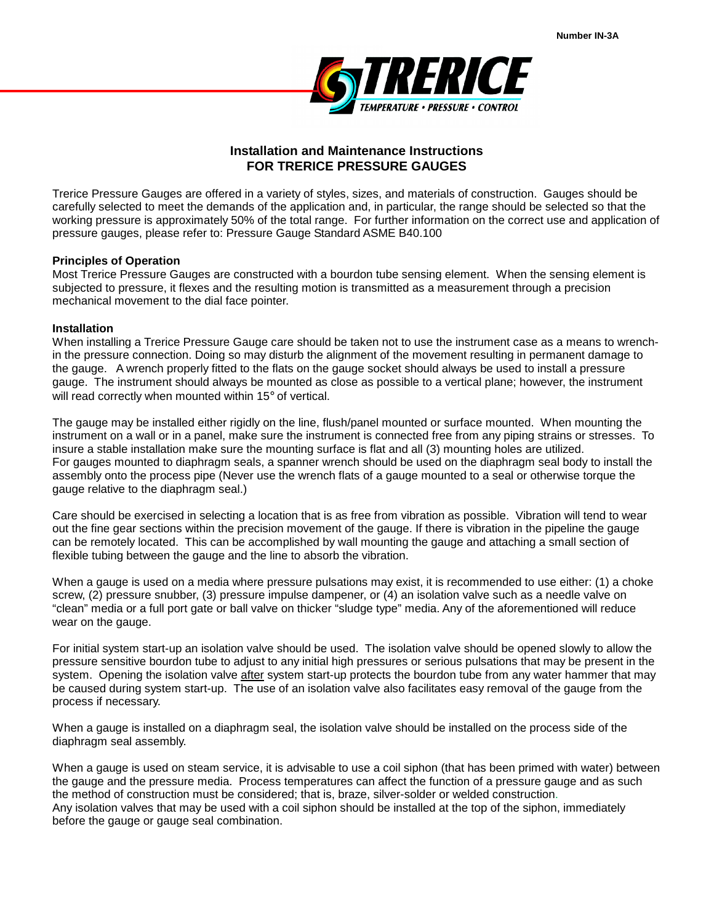

## **Installation and Maintenance Instructions FOR TRERICE PRESSURE GAUGES**

Trerice Pressure Gauges are offered in a variety of styles, sizes, and materials of construction. Gauges should be carefully selected to meet the demands of the application and, in particular, the range should be selected so that the working pressure is approximately 50% of the total range. For further information on the correct use and application of pressure gauges, please refer to: Pressure Gauge Standard ASME B40.100

## **Principles of Operation**

Most Trerice Pressure Gauges are constructed with a bourdon tube sensing element. When the sensing element is subjected to pressure, it flexes and the resulting motion is transmitted as a measurement through a precision mechanical movement to the dial face pointer.

## **Installation**

When installing a Trerice Pressure Gauge care should be taken not to use the instrument case as a means to wrenchin the pressure connection. Doing so may disturb the alignment of the movement resulting in permanent damage to the gauge. A wrench properly fitted to the flats on the gauge socket should always be used to install a pressure gauge. The instrument should always be mounted as close as possible to a vertical plane; however, the instrument will read correctly when mounted within 15° of vertical.

The gauge may be installed either rigidly on the line, flush/panel mounted or surface mounted. When mounting the instrument on a wall or in a panel, make sure the instrument is connected free from any piping strains or stresses. To insure a stable installation make sure the mounting surface is flat and all (3) mounting holes are utilized. For gauges mounted to diaphragm seals, a spanner wrench should be used on the diaphragm seal body to install the assembly onto the process pipe (Never use the wrench flats of a gauge mounted to a seal or otherwise torque the gauge relative to the diaphragm seal.)

Care should be exercised in selecting a location that is as free from vibration as possible. Vibration will tend to wear out the fine gear sections within the precision movement of the gauge. If there is vibration in the pipeline the gauge can be remotely located. This can be accomplished by wall mounting the gauge and attaching a small section of flexible tubing between the gauge and the line to absorb the vibration.

When a gauge is used on a media where pressure pulsations may exist, it is recommended to use either: (1) a choke screw, (2) pressure snubber, (3) pressure impulse dampener, or (4) an isolation valve such as a needle valve on "clean" media or a full port gate or ball valve on thicker "sludge type" media. Any of the aforementioned will reduce wear on the gauge.

For initial system start-up an isolation valve should be used. The isolation valve should be opened slowly to allow the pressure sensitive bourdon tube to adjust to any initial high pressures or serious pulsations that may be present in the system. Opening the isolation valve after system start-up protects the bourdon tube from any water hammer that may be caused during system start-up. The use of an isolation valve also facilitates easy removal of the gauge from the process if necessary.

When a gauge is installed on a diaphragm seal, the isolation valve should be installed on the process side of the diaphragm seal assembly.

When a gauge is used on steam service, it is advisable to use a coil siphon (that has been primed with water) between the gauge and the pressure media. Process temperatures can affect the function of a pressure gauge and as such the method of construction must be considered; that is, braze, silver-solder or welded construction. Any isolation valves that may be used with a coil siphon should be installed at the top of the siphon, immediately before the gauge or gauge seal combination.